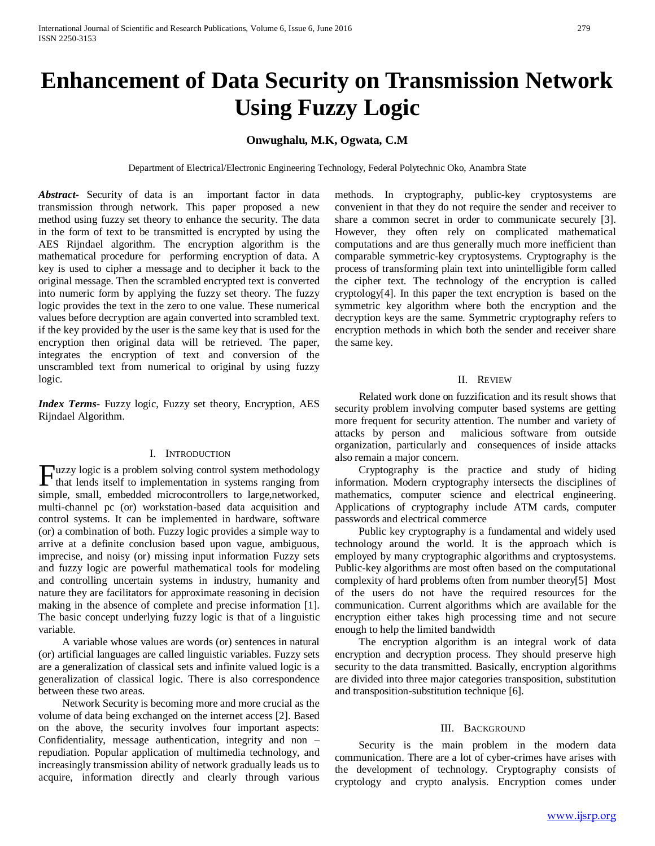# **Enhancement of Data Security on Transmission Network Using Fuzzy Logic**

# **Onwughalu, M.K, Ogwata, C.M**

Department of Electrical/Electronic Engineering Technology, Federal Polytechnic Oko, Anambra State

*Abstract***-** Security of data is an important factor in data transmission through network. This paper proposed a new method using fuzzy set theory to enhance the security. The data in the form of text to be transmitted is encrypted by using the AES Rijndael algorithm. The encryption algorithm is the mathematical procedure for performing encryption of data. A key is used to cipher a message and to decipher it back to the original message. Then the scrambled encrypted text is converted into numeric form by applying the fuzzy set theory. The fuzzy logic provides the text in the zero to one value. These numerical values before decryption are again converted into scrambled text. if the key provided by the user is the same key that is used for the encryption then original data will be retrieved. The paper, integrates the encryption of text and conversion of the unscrambled text from numerical to original by using fuzzy logic.

*Index Terms*- Fuzzy logic, Fuzzy set theory, Encryption, AES Rijndael Algorithm.

#### I. INTRODUCTION

uzzy logic is a problem solving control system methodology Fuzzy logic is a problem solving control system methodology<br>that lends itself to implementation in systems ranging from simple, small, embedded microcontrollers to large,networked, multi-channel pc (or) workstation-based data acquisition and control systems. It can be implemented in hardware, software (or) a combination of both. Fuzzy logic provides a simple way to arrive at a definite conclusion based upon vague, ambiguous, imprecise, and noisy (or) missing input information Fuzzy sets and fuzzy logic are powerful mathematical tools for modeling and controlling uncertain systems in industry, humanity and nature they are facilitators for approximate reasoning in decision making in the absence of complete and precise information [1]. The basic concept underlying fuzzy logic is that of a linguistic variable.

 A variable whose values are words (or) sentences in natural (or) artificial languages are called linguistic variables. Fuzzy sets are a generalization of classical sets and infinite valued logic is a generalization of classical logic. There is also correspondence between these two areas.

 Network Security is becoming more and more crucial as the volume of data being exchanged on the internet access [2]. Based on the above, the security involves four important aspects: Confidentiality, message authentication, integrity and non – repudiation. Popular application of multimedia technology, and increasingly transmission ability of network gradually leads us to acquire, information directly and clearly through various methods. In cryptography, public-key cryptosystems are convenient in that they do not require the sender and receiver to share a common secret in order to communicate securely [3]. However, they often rely on complicated mathematical computations and are thus generally much more inefficient than comparable symmetric-key cryptosystems. Cryptography is the process of transforming plain text into unintelligible form called the cipher text. The technology of the encryption is called cryptology[4]. In this paper the text encryption is based on the symmetric key algorithm where both the encryption and the decryption keys are the same. Symmetric cryptography refers to encryption methods in which both the sender and receiver share the same key.

#### II. REVIEW

 Related work done on fuzzification and its result shows that security problem involving computer based systems are getting more frequent for security attention. The number and variety of attacks by person and malicious software from outside organization, particularly and consequences of inside attacks also remain a major concern.

 Cryptography is the practice and study of hiding information. Modern cryptography intersects the disciplines of mathematics, computer science and electrical engineering. Applications of cryptography include ATM cards, computer passwords and electrical commerce

 Public key cryptography is a fundamental and widely used technology around the world. It is the approach which is employed by many cryptographic algorithms and cryptosystems. Public-key algorithms are most often based on the computational complexity of hard problems often from number theory[5] Most of the users do not have the required resources for the communication. Current algorithms which are available for the encryption either takes high processing time and not secure enough to help the limited bandwidth

 The encryption algorithm is an integral work of data encryption and decryption process. They should preserve high security to the data transmitted. Basically, encryption algorithms are divided into three major categories transposition, substitution and transposition-substitution technique [6].

### III. BACKGROUND

 Security is the main problem in the modern data communication. There are a lot of cyber-crimes have arises with the development of technology. Cryptography consists of cryptology and crypto analysis. Encryption comes under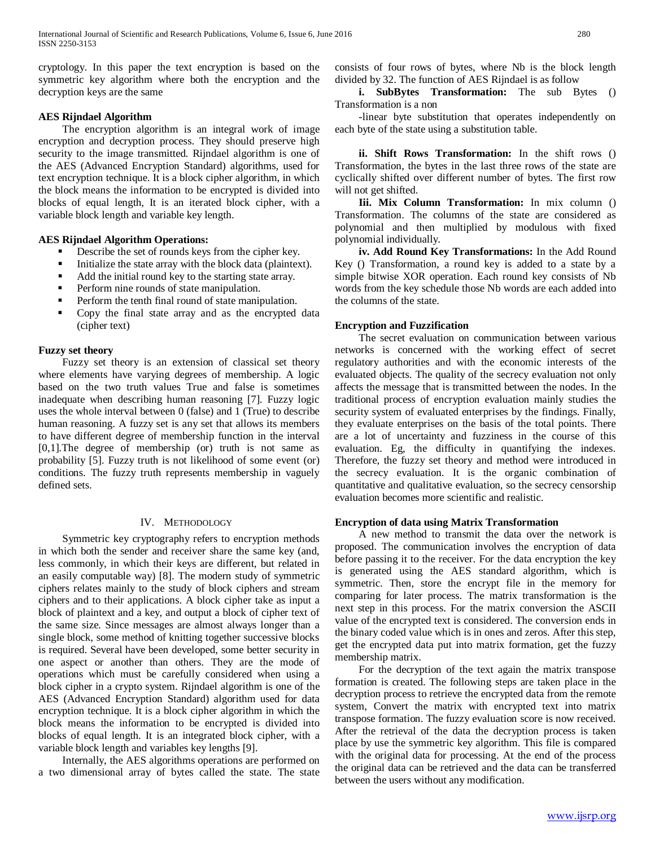cryptology. In this paper the text encryption is based on the symmetric key algorithm where both the encryption and the decryption keys are the same

#### **AES Rijndael Algorithm**

 The encryption algorithm is an integral work of image encryption and decryption process. They should preserve high security to the image transmitted. Rijndael algorithm is one of the AES (Advanced Encryption Standard) algorithms, used for text encryption technique. It is a block cipher algorithm, in which the block means the information to be encrypted is divided into blocks of equal length, It is an iterated block cipher, with a variable block length and variable key length.

## **AES Rijndael Algorithm Operations:**

- Describe the set of rounds keys from the cipher key.
- Initialize the state array with the block data (plaintext).
- Add the initial round key to the starting state array.
- Perform nine rounds of state manipulation.
- Perform the tenth final round of state manipulation.
- Copy the final state array and as the encrypted data (cipher text)

#### **Fuzzy set theory**

 Fuzzy set theory is an extension of classical set theory where elements have varying degrees of membership. A logic based on the two truth values True and false is sometimes inadequate when describing human reasoning [7]. Fuzzy logic uses the whole interval between 0 (false) and 1 (True) to describe human reasoning. A fuzzy set is any set that allows its members to have different degree of membership function in the interval  $[0,1]$ . The degree of membership (or) truth is not same as probability [5]. Fuzzy truth is not likelihood of some event (or) conditions. The fuzzy truth represents membership in vaguely defined sets.

#### IV. METHODOLOGY

 Symmetric key cryptography refers to encryption methods in which both the sender and receiver share the same key (and, less commonly, in which their keys are different, but related in an easily computable way) [8]. The modern study of symmetric ciphers relates mainly to the study of block ciphers and stream ciphers and to their applications. A block cipher take as input a block of plaintext and a key, and output a block of cipher text of the same size. Since messages are almost always longer than a single block, some method of knitting together successive blocks is required. Several have been developed, some better security in one aspect or another than others. They are the mode of operations which must be carefully considered when using a block cipher in a crypto system. Rijndael algorithm is one of the AES (Advanced Encryption Standard) algorithm used for data encryption technique. It is a block cipher algorithm in which the block means the information to be encrypted is divided into blocks of equal length. It is an integrated block cipher, with a variable block length and variables key lengths [9].

 Internally, the AES algorithms operations are performed on a two dimensional array of bytes called the state. The state consists of four rows of bytes, where Nb is the block length divided by 32. The function of AES Rijndael is as follow

 **i. SubBytes Transformation:** The sub Bytes () Transformation is a non

 -linear byte substitution that operates independently on each byte of the state using a substitution table.

 **ii. Shift Rows Transformation:** In the shift rows () Transformation, the bytes in the last three rows of the state are cyclically shifted over different number of bytes. The first row will not get shifted.

 **Iii. Mix Column Transformation:** In mix column () Transformation. The columns of the state are considered as polynomial and then multiplied by modulous with fixed polynomial individually.

 **iv. Add Round Key Transformations:** In the Add Round Key () Transformation, a round key is added to a state by a simple bitwise XOR operation. Each round key consists of Nb words from the key schedule those Nb words are each added into the columns of the state.

#### **Encryption and Fuzzification**

 The secret evaluation on communication between various networks is concerned with the working effect of secret regulatory authorities and with the economic interests of the evaluated objects. The quality of the secrecy evaluation not only affects the message that is transmitted between the nodes. In the traditional process of encryption evaluation mainly studies the security system of evaluated enterprises by the findings. Finally, they evaluate enterprises on the basis of the total points. There are a lot of uncertainty and fuzziness in the course of this evaluation. Eg, the difficulty in quantifying the indexes. Therefore, the fuzzy set theory and method were introduced in the secrecy evaluation. It is the organic combination of quantitative and qualitative evaluation, so the secrecy censorship evaluation becomes more scientific and realistic.

#### **Encryption of data using Matrix Transformation**

 A new method to transmit the data over the network is proposed. The communication involves the encryption of data before passing it to the receiver. For the data encryption the key is generated using the AES standard algorithm, which is symmetric. Then, store the encrypt file in the memory for comparing for later process. The matrix transformation is the next step in this process. For the matrix conversion the ASCII value of the encrypted text is considered. The conversion ends in the binary coded value which is in ones and zeros. After this step, get the encrypted data put into matrix formation, get the fuzzy membership matrix.

 For the decryption of the text again the matrix transpose formation is created. The following steps are taken place in the decryption process to retrieve the encrypted data from the remote system, Convert the matrix with encrypted text into matrix transpose formation. The fuzzy evaluation score is now received. After the retrieval of the data the decryption process is taken place by use the symmetric key algorithm. This file is compared with the original data for processing. At the end of the process the original data can be retrieved and the data can be transferred between the users without any modification.